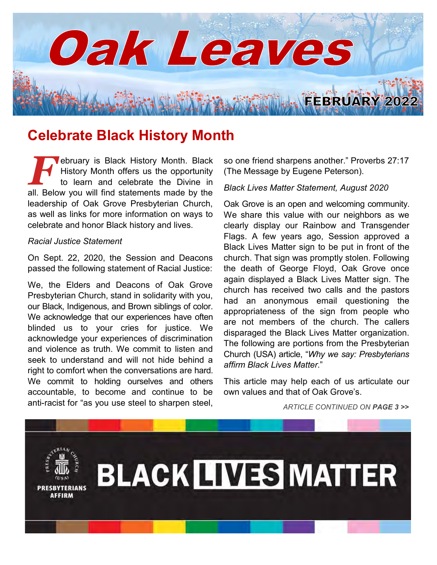

# **Celebrate Black History Month**

**FERN ENDER AND ALL PRONE CONTROLLED A History Month offers us the opportunity to learn and celebrate the Divine in all. Below you will find statements made by the** ebruary is Black History Month. Black History Month offers us the opportunity to learn and celebrate the Divine in leadership of Oak Grove Presbyterian Church, as well as links for more information on ways to celebrate and honor Black history and lives.

#### *Racial Justice Statement*

On Sept. 22, 2020, the Session and Deacons passed the following statement of Racial Justice:

We, the Elders and Deacons of Oak Grove Presbyterian Church, stand in solidarity with you, our Black, Indigenous, and Brown siblings of color. We acknowledge that our experiences have often blinded us to your cries for justice. We acknowledge your experiences of discrimination and violence as truth. We commit to listen and seek to understand and will not hide behind a right to comfort when the conversations are hard. We commit to holding ourselves and others accountable, to become and continue to be anti-racist for "as you use steel to sharpen steel, so one friend sharpens another." Proverbs 27:17 (The Message by Eugene Peterson).

#### *Black Lives Matter Statement, August 2020*

Oak Grove is an open and welcoming community. We share this value with our neighbors as we clearly display our Rainbow and Transgender Flags. A few years ago, Session approved a Black Lives Matter sign to be put in front of the church. That sign was promptly stolen. Following the death of George Floyd, Oak Grove once again displayed a Black Lives Matter sign. The church has received two calls and the pastors had an anonymous email questioning the appropriateness of the sign from people who are not members of the church. The callers disparaged the Black Lives Matter organization. The following are portions from the Presbyterian Church (USA) article, "*Why we say: Presbyterians affirm Black Lives Matter*."

This article may help each of us articulate our own values and that of Oak Grove's.

*ARTICLE CONTINUED ON PAGE 3 >>*

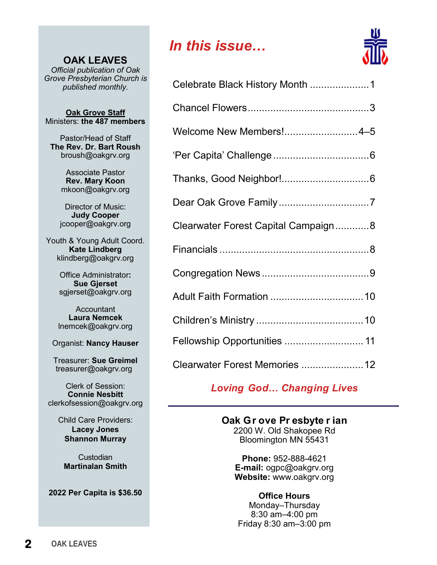**OAK LEAVES** *Official publication of Oak Grove Presbyterian Church is published monthly.*

**Oak Grove Staff** Ministers: **the 487 members**

Pastor/Head of Staff **The Rev. Dr. Bart Roush** broush@oakgrv.org

> Associate Pastor **Rev. Mary Koon** mkoon@oakgrv.org

Director of Music: **Judy Cooper** jcooper@oakgrv.org

Youth & Young Adult Coord. **Kate Lindberg** klindberg@oakgrv.org

> Office Administrator**: Sue Gjerset** sgjerset@oakgrv.org

**Accountant Laura Nemcek** lnemcek@oakgrv.org

Organist: **Nancy Hauser**

Treasurer: **Sue Greimel** treasurer@oakgrv.org

Clerk of Session: **Connie Nesbitt** clerkofsession@oakgrv.org

> Child Care Providers: **Lacey Jones Shannon Murray**

Custodian **Martinalan Smith**

**2022 Per Capita is \$36.50**

# *In this issue…*



| Celebrate Black History Month 1     |  |
|-------------------------------------|--|
|                                     |  |
| Welcome New Members!4-5             |  |
|                                     |  |
|                                     |  |
|                                     |  |
| Clearwater Forest Capital Campaign8 |  |
|                                     |  |
|                                     |  |
|                                     |  |
|                                     |  |
| Fellowship Opportunities  11        |  |
| Clearwater Forest Memories  12      |  |

*Loving God… Changing Lives*

### **Oak Gr ove Pr esbyte r ian**

2200 W. Old Shakopee Rd Bloomington MN 55431

**Phone:** 952-888-4621 **E-mail:** ogpc@oakgrv.org **Website:** www.oakgrv.org

**Office Hours** Monday–Thursday 8:30 am–4:00 pm Friday 8:30 am–3:00 pm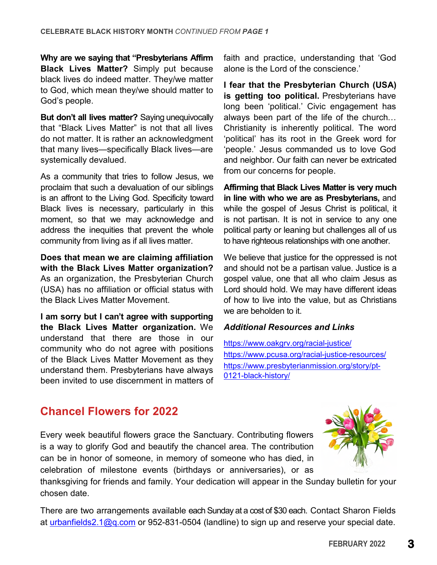**Why are we saying that "Presbyterians Affirm Black Lives Matter?** Simply put because black lives do indeed matter. They/we matter to God, which mean they/we should matter to God's people.

**But don't all lives matter?** Saying unequivocally that "Black Lives Matter" is not that all lives do not matter. It is rather an acknowledgment that many lives—specifically Black lives—are systemically devalued.

As a community that tries to follow Jesus, we proclaim that such a devaluation of our siblings is an affront to the Living God. Specificity toward Black lives is necessary, particularly in this moment, so that we may acknowledge and address the inequities that prevent the whole community from living as if all lives matter.

**Does that mean we are claiming affiliation with the Black Lives Matter organization?**  As an organization, the Presbyterian Church (USA) has no affiliation or official status with the Black Lives Matter Movement.

**I am sorry but I can't agree with supporting the Black Lives Matter organization.** We understand that there are those in our community who do not agree with positions of the Black Lives Matter Movement as they understand them. Presbyterians have always been invited to use discernment in matters of faith and practice, understanding that 'God alone is the Lord of the conscience.'

**I fear that the Presbyterian Church (USA) is getting too political.** Presbyterians have long been 'political.' Civic engagement has always been part of the life of the church… Christianity is inherently political. The word 'political' has its root in the Greek word for 'people.' Jesus commanded us to love God and neighbor. Our faith can never be extricated from our concerns for people.

**Affirming that Black Lives Matter is very much in line with who we are as Presbyterians,** and while the gospel of Jesus Christ is political, it is not partisan. It is not in service to any one political party or leaning but challenges all of us to have righteous relationships with one another.

We believe that justice for the oppressed is not and should not be a partisan value. Justice is a gospel value, one that all who claim Jesus as Lord should hold. We may have different ideas of how to live into the value, but as Christians we are beholden to it.

### *Additional Resources and Links*

<https://www.oakgrv.org/racial-justice/> <https://www.pcusa.org/racial-justice-resources/> [https://www.presbyterianmission.org/story/pt-](https://www.presbyterianmission.org/story/pt-0121-black-history/)[0121-black-history/](https://www.presbyterianmission.org/story/pt-0121-black-history/)

# **Chancel Flowers for 2022**

Every week beautiful flowers grace the Sanctuary. Contributing flowers is a way to glorify God and beautify the chancel area. The contribution can be in honor of someone, in memory of someone who has died, in celebration of milestone events (birthdays or anniversaries), or as



thanksgiving for friends and family. Your dedication will appear in the Sunday bulletin for your chosen date.

There are two arrangements available each Sunday at a cost of \$30 each. Contact Sharon Fields at [urbanfields2.1@q.com](mailto:urbanfields2.1@q.com) or 952-831-0504 (landline) to sign up and reserve your special date.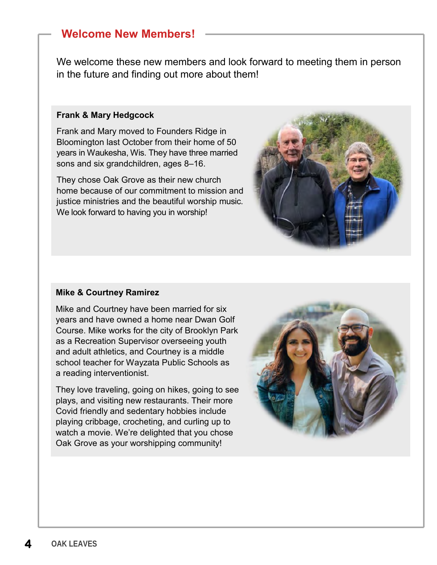# **Welcome New Members!**

We welcome these new members and look forward to meeting them in person in the future and finding out more about them!

#### **Frank & Mary Hedgcock**

Frank and Mary moved to Founders Ridge in Bloomington last October from their home of 50 years in Waukesha, Wis. They have three married sons and six grandchildren, ages 8–16.

They chose Oak Grove as their new church home because of our commitment to mission and justice ministries and the beautiful worship music. We look forward to having you in worship!



### **Mike & Courtney Ramirez**

Mike and Courtney have been married for six years and have owned a home near Dwan Golf Course. Mike works for the city of Brooklyn Park as a Recreation Supervisor overseeing youth and adult athletics, and Courtney is a middle school teacher for Wayzata Public Schools as a reading interventionist.

They love traveling, going on hikes, going to see plays, and visiting new restaurants. Their more Covid friendly and sedentary hobbies include playing cribbage, crocheting, and curling up to watch a movie. We're delighted that you chose Oak Grove as your worshipping community!

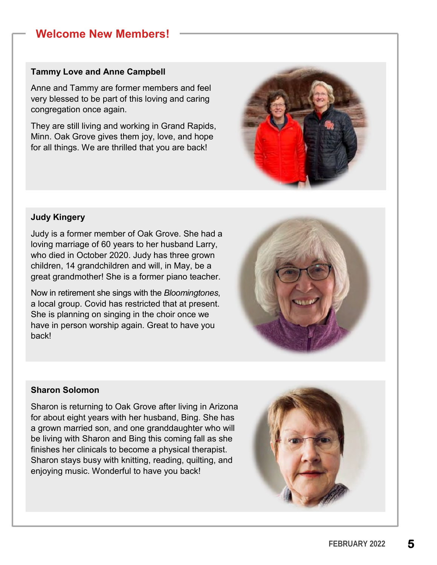# **Welcome New Members!**

#### **Tammy Love and Anne Campbell**

Anne and Tammy are former members and feel very blessed to be part of this loving and caring congregation once again.

They are still living and working in Grand Rapids, Minn. Oak Grove gives them joy, love, and hope for all things. We are thrilled that you are back!



### **Judy Kingery**

Judy is a former member of Oak Grove. She had a loving marriage of 60 years to her husband Larry, who died in October 2020. Judy has three grown children, 14 grandchildren and will, in May, be a great grandmother! She is a former piano teacher.

Now in retirement she sings with the *Bloomingtones*, a local group. Covid has restricted that at present. She is planning on singing in the choir once we have in person worship again. Great to have you back!



### **Sharon Solomon**

Sharon is returning to Oak Grove after living in Arizona for about eight years with her husband, Bing. She has a grown married son, and one granddaughter who will be living with Sharon and Bing this coming fall as she finishes her clinicals to become a physical therapist. Sharon stays busy with knitting, reading, quilting, and enjoying music. Wonderful to have you back!

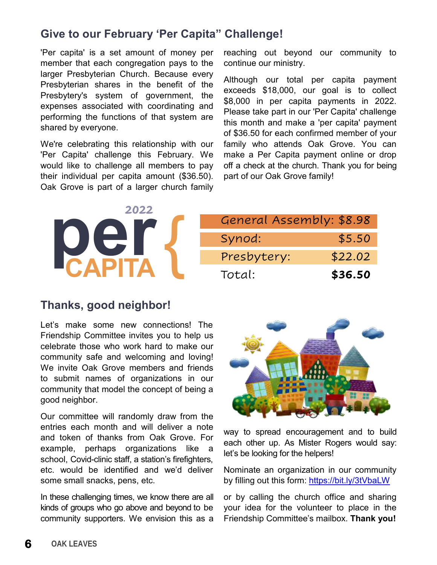# **Give to our February 'Per Capita" Challenge!**

'Per capita' is a set amount of money per member that each congregation pays to the larger Presbyterian Church. Because every Presbyterian shares in the benefit of the Presbytery's system of government, the expenses associated with coordinating and performing the functions of that system are shared by everyone.

We're celebrating this relationship with our 'Per Capita' challenge this February. We would like to challenge all members to pay their individual per capita amount (\$36.50). Oak Grove is part of a larger church family

reaching out beyond our community to continue our ministry.

Although our total per capita payment exceeds \$18,000, our goal is to collect \$8,000 in per capita payments in 2022. Please take part in our 'Per Capita' challenge this month and make a 'per capita' payment of \$36.50 for each confirmed member of your family who attends Oak Grove. You can make a Per Capita payment online or drop off a check at the church. Thank you for being part of our Oak Grove family!

| 2022 | General Assembly: \$8.98 |         |
|------|--------------------------|---------|
|      | Synod:                   | \$5.50  |
|      | Presbytery:              | \$22.02 |
|      | Total:                   | \$36.50 |

# **Thanks, good neighbor!**

Let's make some new connections! The Friendship Committee invites you to help us celebrate those who work hard to make our community safe and welcoming and loving! We invite Oak Grove members and friends to submit names of organizations in our community that model the concept of being a good neighbor.

Our committee will randomly draw from the entries each month and will deliver a note and token of thanks from Oak Grove. For example, perhaps organizations like a school, Covid-clinic staff, a station's firefighters, etc. would be identified and we'd deliver some small snacks, pens, etc.

In these challenging times, we know there are all kinds of groups who go above and beyond to be community supporters. We envision this as a



way to spread encouragement and to build each other up. As Mister Rogers would say: let's be looking for the helpers!

Nominate an organization in our community by filling out this form:<https://bit.ly/3tVbaLW>

or by calling the church office and sharing your idea for the volunteer to place in the Friendship Committee's mailbox. **Thank you!**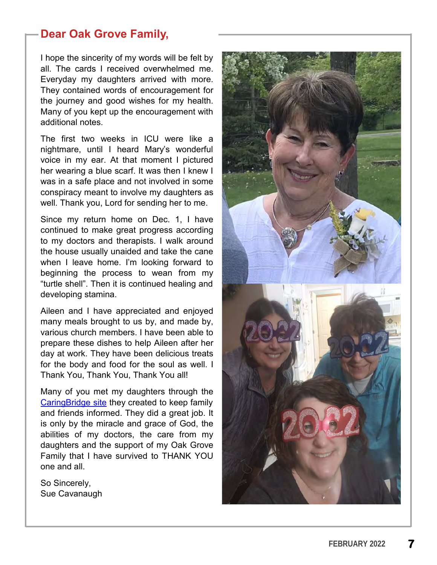# **Dear Oak Grove Family,**

I hope the sincerity of my words will be felt by all. The cards I received overwhelmed me. Everyday my daughters arrived with more. They contained words of encouragement for the journey and good wishes for my health. Many of you kept up the encouragement with additional notes.

The first two weeks in ICU were like a nightmare, until I heard Mary's wonderful voice in my ear. At that moment I pictured her wearing a blue scarf. It was then I knew I was in a safe place and not involved in some conspiracy meant to involve my daughters as well. Thank you, Lord for sending her to me.

Since my return home on Dec. 1, I have continued to make great progress according to my doctors and therapists. I walk around the house usually unaided and take the cane when I leave home. I'm looking forward to beginning the process to wean from my "turtle shell". Then it is continued healing and developing stamina.

Aileen and I have appreciated and enjoyed many meals brought to us by, and made by, various church members. I have been able to prepare these dishes to help Aileen after her day at work. They have been delicious treats for the body and food for the soul as well. I Thank You, Thank You, Thank You all!

Many of you met my daughters through the [CaringBridge site](https://www.caringbridge.org/visit/suecavanaugh) they created to keep family and friends informed. They did a great job. It is only by the miracle and grace of God, the abilities of my doctors, the care from my daughters and the support of my Oak Grove Family that I have survived to THANK YOU one and all.

So Sincerely, Sue Cavanaugh

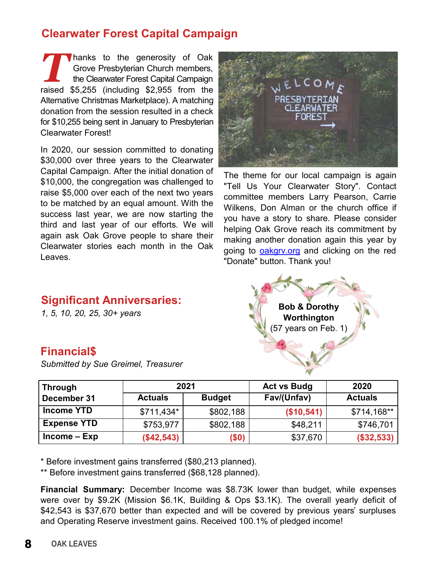# **Clearwater Forest Capital Campaign**

Thanks to the generosity of Oak<br>
Grove Presbyterian Church members,<br>
the Clearwater Forest Capital Campaign<br>
raised \$5,255 (including \$2,955 from the hanks to the generosity of Oak Grove Presbyterian Church members, the Clearwater Forest Capital Campaign Alternative Christmas Marketplace). A matching donation from the session resulted in a check for \$10,255 being sent in January to Presbyterian Clearwater Forest!

In 2020, our session committed to donating \$30,000 over three years to the Clearwater Capital Campaign. After the initial donation of \$10,000, the congregation was challenged to raise \$5,000 over each of the next two years to be matched by an equal amount. With the success last year, we are now starting the third and last year of our efforts. We will again ask Oak Grove people to share their Clearwater stories each month in the Oak Leaves.



The theme for our local campaign is again "Tell Us Your Clearwater Story". Contact committee members Larry Pearson, Carrie Wilkens, Don Alman or the church office if you have a story to share. Please consider helping Oak Grove reach its commitment by making another donation again this year by going to **oakgry.org** and clicking on the red "Donate" button. Thank you!



# **Significant Anniversaries:**

*1, 5, 10, 20, 25, 30+ years*

# **Financial\$**

*Submitted by Sue Greimel, Treasurer*

| <b>Through</b>     | 2021           |               | <b>Act vs Budg</b> | 2020           |
|--------------------|----------------|---------------|--------------------|----------------|
| December 31        | <b>Actuals</b> | <b>Budget</b> | Fav/(Unfav)        | <b>Actuals</b> |
| <b>Income YTD</b>  | $$711,434*$    | \$802,188     | (\$10,541)         | \$714,168**    |
| <b>Expense YTD</b> | \$753,977      | \$802,188     | \$48,211           | \$746,701      |
| $Income – Exp$     | (\$42,543)     | (\$0)         | \$37,670           | (\$32,533)     |

\* Before investment gains transferred (\$80,213 planned).

\*\* Before investment gains transferred (\$68,128 planned).

**Financial Summary:** December Income was \$8.73K lower than budget, while expenses were over by \$9.2K (Mission \$6.1K, Building & Ops \$3.1K). The overall yearly deficit of \$42,543 is \$37,670 better than expected and will be covered by previous years' surpluses and Operating Reserve investment gains. Received 100.1% of pledged income!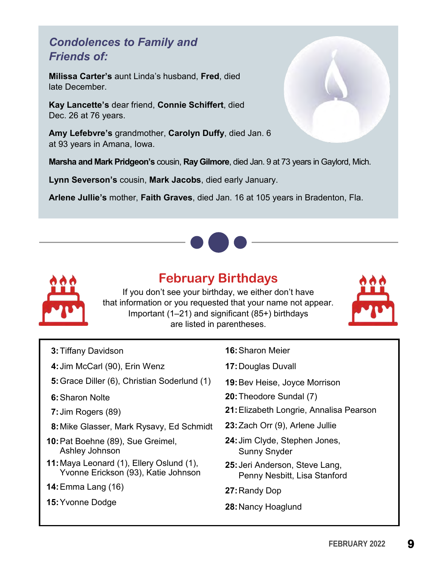# *Condolences to Family and Friends of:*

**Milissa Carter's** aunt Linda's husband, **Fred**, died late December.

**Kay Lancette's** dear friend, **Connie Schiffert**, died Dec. 26 at 76 years.

**Amy Lefebvre's** grandmother, **Carolyn Duffy**, died Jan. 6 at 93 years in Amana, Iowa.

**Marsha and Mark Pridgeon's** cousin, **Ray Gilmore**, died Jan. 9 at 73 years in Gaylord, Mich.

**Lynn Severson's** cousin, **Mark Jacobs**, died early January.

**Arlene Jullie's** mother, **Faith Graves**, died Jan. 16 at 105 years in Bradenton, Fla.





# **February Birthdays**

If you don't see your birthday, we either don't have that information or you requested that your name not appear. Important (1–21) and significant (85+) birthdays are listed in parentheses.



- **3:** Tiffany Davidson
- **4:**Jim McCarl (90), Erin Wenz
- **5:** Grace Diller (6), Christian Soderlund (1)
- **6:** Sharon Nolte
- **7:** Jim Rogers (89)
- **8:**Mike Glasser, Mark Rysavy, Ed Schmidt
- **10:**Pat Boehne (89), Sue Greimel, Ashley Johnson
- **11:**Maya Leonard (1), Ellery Oslund (1), Yvonne Erickson (93), Katie Johnson
- **14:**Emma Lang (16)
- **15:**Yvonne Dodge
- **16:**Sharon Meier
- **17:**Douglas Duvall
- **19:**Bev Heise, Joyce Morrison
- **20:** Theodore Sundal (7)
- **21:** Elizabeth Longrie, Annalisa Pearson
- **23:** Zach Orr (9), Arlene Jullie
- **24:** Jim Clyde, Stephen Jones, Sunny Snyder
- **25:** Jeri Anderson, Steve Lang, Penny Nesbitt, Lisa Stanford
- **27:** Randy Dop
- **28:** Nancy Hoaglund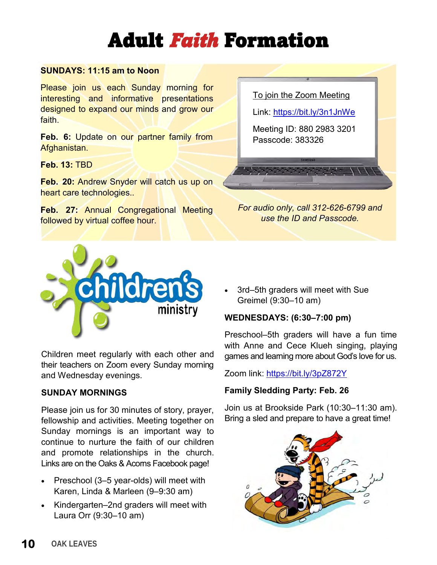# Adult *Faith* Formation

### **SUNDAYS: 11:15 am to Noon**

Please join us each Sunday morning for interesting and informative presentations designed to expand our minds and grow our faith.

**Feb. 6:** Update on our partner family from Afghanistan.

**Feb. 13:** TBD

**Feb. 20:** Andrew Snyder will catch us up on heart care technologies..

**Feb. 27:** Annual Congregational Meeting followed by virtual coffee hour.

To join the Zoom Meeting

Link:<https://bit.ly/3n1JnWe>

Meeting ID: 880 2983 3201 Passcode: 383326

*For audio only, call 312-626-6799 and use the ID and Passcode.*



Children meet regularly with each other and their teachers on Zoom every Sunday morning and Wednesday evenings.

### **SUNDAY MORNINGS**

Please join us for 30 minutes of story, prayer, fellowship and activities. Meeting together on Sunday mornings is an important way to continue to nurture the faith of our children and promote relationships in the church. Links are on the Oaks & Acorns Facebook page!

- Preschool (3–5 year-olds) will meet with Karen, Linda & Marleen (9–9:30 am)
- Kindergarten–2nd graders will meet with Laura Orr (9:30–10 am)

• 3rd–5th graders will meet with Sue Greimel (9:30–10 am)

### **WEDNESDAYS: (6:30–7:00 pm)**

Preschool–5th graders will have a fun time with Anne and Cece Klueh singing, playing games and learning more about God's love for us.

Zoom link: <https://bit.ly/3pZ872Y>

### **Family Sledding Party: Feb. 26**

Join us at Brookside Park (10:30–11:30 am). Bring a sled and prepare to have a great time!

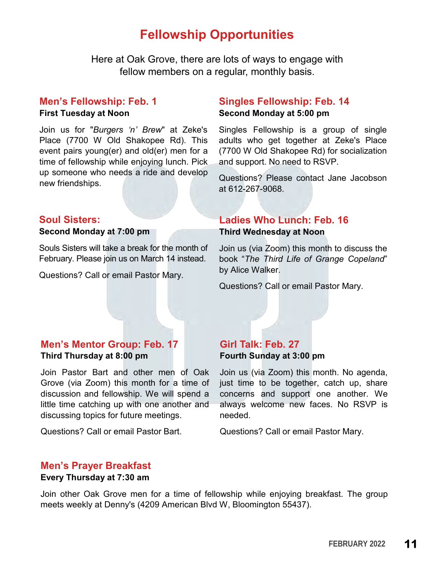# **Fellowship Opportunities**

Here at Oak Grove, there are lots of ways to engage with fellow members on a regular, monthly basis.

### **Men's Fellowship: Feb. 1**

#### **First Tuesday at Noon**

Join us for "*Burgers 'n' Brew*" at Zeke's Place (7700 W Old Shakopee Rd). This event pairs young(er) and old(er) men for a time of fellowship while enjoying lunch. Pick up someone who needs a ride and develop new friendships.

### **Soul Sisters:**

### **Second Monday at 7:00 pm**

Souls Sisters will take a break for the month of February. Please join us on March 14 instead.

Questions? Call or email Pastor Mary.

### **Singles Fellowship: Feb. 14 Second Monday at 5:00 pm**

Singles Fellowship is a group of single adults who get together at Zeke's Place (7700 W Old Shakopee Rd) for socialization and support. No need to RSVP.

Questions? Please contact Jane Jacobson at 612-267-9068.

### **Ladies Who Lunch: Feb. 16**

#### **Third Wednesday at Noon**

Join us (via Zoom) this month to discuss the book "*The Third Life of Grange Copeland*" by Alice Walker.

Questions? Call or email Pastor Mary.

### **Men's Mentor Group: Feb. 17 Third Thursday at 8:00 pm**

Join Pastor Bart and other men of Oak Grove (via Zoom) this month for a time of discussion and fellowship. We will spend a little time catching up with one another and discussing topics for future meetings.

Questions? Call or email Pastor Bart.

### **Girl Talk: Feb. 27 Fourth Sunday at 3:00 pm**

Join us (via Zoom) this month. No agenda, just time to be together, catch up, share concerns and support one another. We always welcome new faces. No RSVP is needed.

Questions? Call or email Pastor Mary.

### **Men's Prayer Breakfast**

#### **Every Thursday at 7:30 am**

Join other Oak Grove men for a time of fellowship while enjoying breakfast. The group meets weekly at Denny's (4209 American Blvd W, Bloomington 55437).